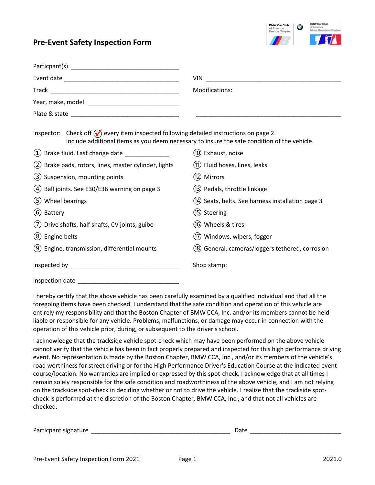## **Pre-Event Safety Inspection Form**



|                                                                                                 | VIN.                                                                                        |
|-------------------------------------------------------------------------------------------------|---------------------------------------------------------------------------------------------|
| Modifications:                                                                                  |                                                                                             |
|                                                                                                 |                                                                                             |
|                                                                                                 |                                                                                             |
| Inspector: Check off $\bigcirc$ every item inspected following detailed instructions on page 2. | Include additional items as you deem necessary to insure the safe condition of the vehicle. |
| $(1)$ Brake fluid. Last change date $\frac{1}{2}$                                               | (10) Exhaust, noise                                                                         |
| (2) Brake pads, rotors, lines, master cylinder, lights                                          | (11) Fluid hoses, lines, leaks                                                              |
| (3) Suspension, mounting points                                                                 | (12) Mirrors                                                                                |
| (4) Ball joints. See E30/E36 warning on page 3                                                  | (13) Pedals, throttle linkage                                                               |
| (5) Wheel bearings                                                                              | (14) Seats, belts. See harness installation page 3                                          |
| (6) Battery                                                                                     | (15) Steering                                                                               |
| (7) Drive shafts, half shafts, CV joints, guibo                                                 | (16) Wheels & tires                                                                         |
| (8) Engine belts                                                                                | (17) Windows, wipers, fogger                                                                |
| (9) Engine, transmission, differential mounts                                                   | (18) General, cameras/loggers tethered, corrosion                                           |
|                                                                                                 | Shop stamp:                                                                                 |
|                                                                                                 |                                                                                             |

I hereby certify that the above vehicle has been carefully examined by a qualified individual and that all the foregoing items have been checked. I understand that the safe condition and operation of this vehicle are entirely my responsibility and that the Boston Chapter of BMW CCA, Inc. and/or its members cannot be held liable or responsible for any vehicle. Problems, malfunctions, or damage may occur in connection with the operation of this vehicle prior, during, or subsequent to the driver's school.

I acknowledge that the trackside vehicle spot-check which may have been performed on the above vehicle cannot verify that the vehicle has been in fact properly prepared and inspected for this high performance driving event. No representation is made by the Boston Chapter, BMW CCA, Inc., and/or its members of the vehicle's road worthiness for street driving or for the High Performance Driver's Education Course at the indicated event course/location. No warranties are implied or expressed by this spot-check. I acknowledge that at all times I remain solely responsible for the safe condition and roadworthiness of the above vehicle, and I am not relying on the trackside spot-check in deciding whether or not to drive the vehicle. I realize that the trackside spotcheck is performed at the discretion of the Boston Chapter, BMW CCA, Inc., and that not all vehicles are checked.

| Particpant signature | Vdlt |  |
|----------------------|------|--|
|                      |      |  |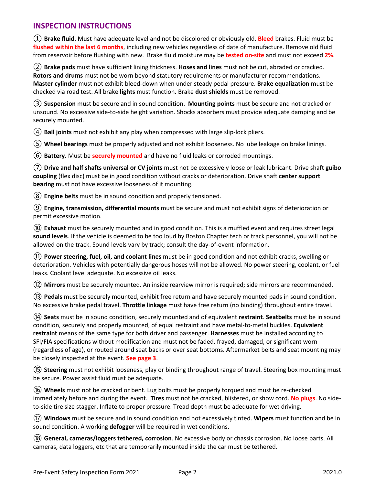## **INSPECTION INSTRUCTIONS**

① **Brake fluid**. Must have adequate level and not be discolored or obviously old. **Bleed** brakes. Fluid must be **flushed within the last 6 months**, including new vehicles regardless of date of manufacture. Remove old fluid from reservoir before flushing with new. Brake fluid moisture may be **tested on-site** and must not exceed **2%**.

② **Brake pads** must have sufficient lining thickness. **Hoses and lines** must not be cut, abraded or cracked. **Rotors and drums** must not be worn beyond statutory requirements or manufacturer recommendations. **Master cylinder** must not exhibit bleed-down when under steady pedal pressure. **Brake equalization** must be checked via road test. All brake **lights** must function. Brake **dust shields** must be removed.

③ **Suspension** must be secure and in sound condition. **Mounting points** must be secure and not cracked or unsound. No excessive side-to-side height variation. Shocks absorbers must provide adequate damping and be securely mounted.

④ **Ball joints** must not exhibit any play when compressed with large slip-lock pliers.

⑤ **Wheel bearings** must be properly adjusted and not exhibit looseness. No lube leakage on brake linings.

⑥ **Battery**. Must be **securely mounted** and have no fluid leaks or corroded mountings.

⑦ **Drive and half shafts universal or CV joints** must not be excessively loose or leak lubricant. Drive shaft **guibo coupling** (flex disc) must be in good condition without cracks or deterioration. Drive shaft **center support bearing** must not have excessive looseness of it mounting.

⑧ **Engine belts** must be in sound condition and properly tensioned.

⑨ **Engine, transmission, differential mounts** must be secure and must not exhibit signs of deterioration or permit excessive motion.

⑩ **Exhaust** must be securely mounted and in good condition. This is a muffled event and requires street legal **sound levels**. If the vehicle is deemed to be too loud by Boston Chapter tech or track personnel, you will not be allowed on the track. Sound levels vary by track; consult the day-of-event information.

⑪ **Power steering, fuel, oil, and coolant lines** must be in good condition and not exhibit cracks, swelling or deterioration. Vehicles with potentially dangerous hoses will not be allowed. No power steering, coolant, or fuel leaks. Coolant level adequate. No excessive oil leaks.

⑫ **Mirrors** must be securely mounted. An inside rearview mirror is required; side mirrors are recommended.

⑬ **Pedals** must be securely mounted, exhibit free return and have securely mounted pads in sound condition. No excessive brake pedal travel. **Throttle linkage** must have free return (no binding) throughout entire travel.

⑭ **Seats** must be in sound condition, securely mounted and of equivalent **restraint**. **Seatbelts** must be in sound condition, securely and properly mounted, of equal restraint and have metal-to-metal buckles. **Equivalent restraint** means of the same type for both driver and passenger. **Harnesses** must be installed according to SFI/FIA specifications without modification and must not be faded, frayed, damaged, or significant worn (regardless of age), or routed around seat backs or over seat bottoms. Aftermarket belts and seat mounting may be closely inspected at the event. **See page 3**.

⑮ **Steering** must not exhibit looseness, play or binding throughout range of travel. Steering box mounting must be secure. Power assist fluid must be adequate.

⑯ **Wheels** must not be cracked or bent. Lug bolts must be properly torqued and must be re-checked immediately before and during the event. **Tires** must not be cracked, blistered, or show cord. **No plugs**. No sideto-side tire size stagger. Inflate to proper pressure. Tread depth must be adequate for wet driving.

⑰ **Windows** must be secure and in sound condition and not excessively tinted. **Wipers** must function and be in sound condition. A working **defogger** will be required in wet conditions.

⑱ **General, cameras/loggers tethered, corrosion**. No excessive body or chassis corrosion. No loose parts. All cameras, data loggers, etc that are temporarily mounted inside the car must be tethered.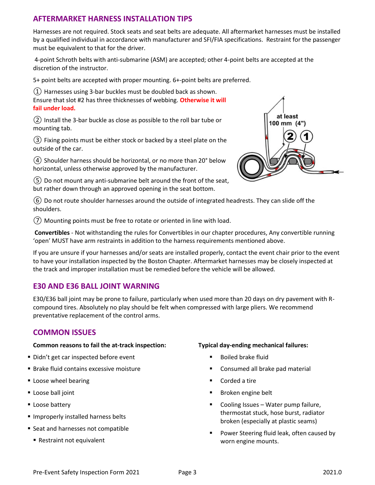## **AFTERMARKET HARNESS INSTALLATION TIPS**

Harnesses are not required. Stock seats and seat belts are adequate. All aftermarket harnesses must be installed by a qualified individual in accordance with manufacturer and SFI/FIA specifications. Restraint for the passenger must be equivalent to that for the driver.

4-point Schroth belts with anti-submarine (ASM) are accepted; other 4-point belts are accepted at the discretion of the instructor.

5+ point belts are accepted with proper mounting. 6+-point belts are preferred.

 $(1)$  Harnesses using 3-bar buckles must be doubled back as shown.

Ensure that slot #2 has three thicknesses of webbing. **Otherwise it will fail under load.**

② Install the 3-bar buckle as close as possible to the roll bar tube or mounting tab.

③ Fixing points must be either stock or backed by a steel plate on the outside of the car.

 $(4)$  Shoulder harness should be horizontal, or no more than 20 $^{\circ}$  below horizontal, unless otherwise approved by the manufacturer.

 $(5)$  Do not mount any anti-submarine belt around the front of the seat, but rather down through an approved opening in the seat bottom.



⑥ Do not route shoulder harnesses around the outside of integrated headrests. They can slide off the shoulders.

⑦ Mounting points must be free to rotate or oriented in line with load.

**Convertibles** - Not withstanding the rules for Convertibles in our chapter procedures, Any convertible running 'open' MUST have arm restraints in addition to the harness requirements mentioned above.

If you are unsure if your harnesses and/or seats are installed properly, contact the event chair prior to the event to have your installation inspected by the Boston Chapter. Aftermarket harnesses may be closely inspected at the track and improper installation must be remedied before the vehicle will be allowed.

## **E30 AND E36 BALL JOINT WARNING**

E30/E36 ball joint may be prone to failure, particularly when used more than 20 days on dry pavement with Rcompound tires. Absolutely no play should be felt when compressed with large pliers. We recommend preventative replacement of the control arms.

## **COMMON ISSUES**

### **Common reasons to fail the at-track inspection:**

- Didn't get car inspected before event
- **Brake fluid contains excessive moisture**
- **Loose wheel bearing**
- **Loose ball joint**
- **Loose battery**
- **Improperly installed harness belts**
- Seat and harnesses not compatible
	- Restraint not equivalent

### **Typical day-ending mechanical failures:**

- Boiled brake fluid
- Consumed all brake pad material
- Corded a tire
- **Broken engine belt**
- Cooling Issues Water pump failure, thermostat stuck, hose burst, radiator broken (especially at plastic seams)
- Power Steering fluid leak, often caused by worn engine mounts.